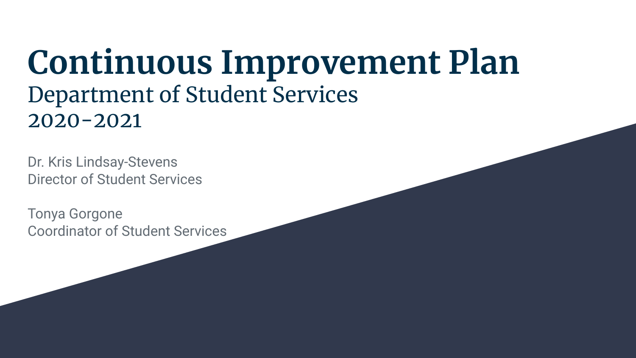### **Continuous Improvement Plan** Department of Student Services 2020-2021

Dr. Kris Lindsay-Stevens Director of Student Services

Tonya Gorgone Coordinator of Student Services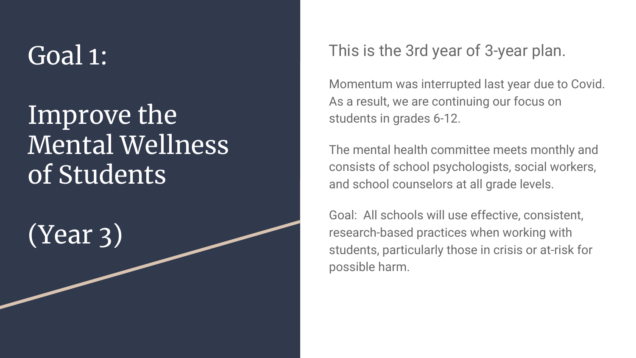## Goal 1:

### Improve the Mental Wellness of Students

(Year 3)

This is the 3rd year of 3-year plan.

Momentum was interrupted last year due to Covid. As a result, we are continuing our focus on students in grades 6-12.

The mental health committee meets monthly and consists of school psychologists, social workers, and school counselors at all grade levels.

Goal: All schools will use effective, consistent, research-based practices when working with students, particularly those in crisis or at-risk for possible harm.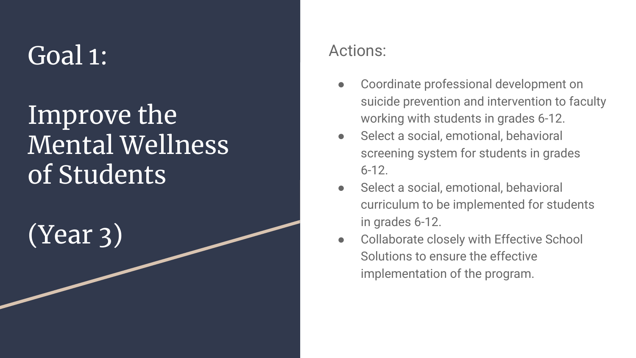## Goal 1:

### Improve the Mental Wellness of Students

(Year 3)

#### Actions:

- Coordinate professional development on suicide prevention and intervention to faculty working with students in grades 6-12.
- Select a social, emotional, behavioral screening system for students in grades 6-12.
- Select a social, emotional, behavioral curriculum to be implemented for students in grades 6-12.
- Collaborate closely with Effective School Solutions to ensure the effective implementation of the program.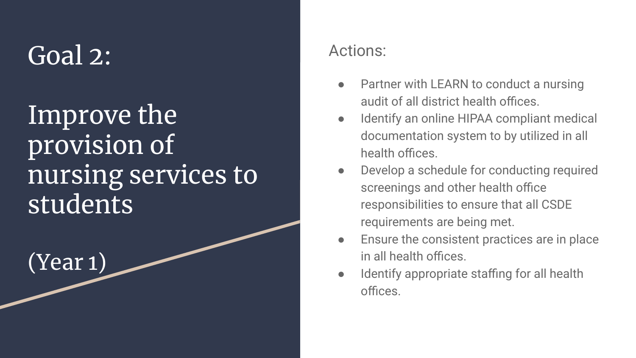## Goal 2:

Improve the provision of nursing services to students<sup>1</sup>

(Year 1)

#### Actions:

- Partner with LEARN to conduct a nursing audit of all district health offices.
- Identify an online HIPAA compliant medical documentation system to by utilized in all health offices.
- Develop a schedule for conducting required screenings and other health office responsibilities to ensure that all CSDE requirements are being met.
- Ensure the consistent practices are in place in all health offices.
- Identify appropriate staffing for all health offices.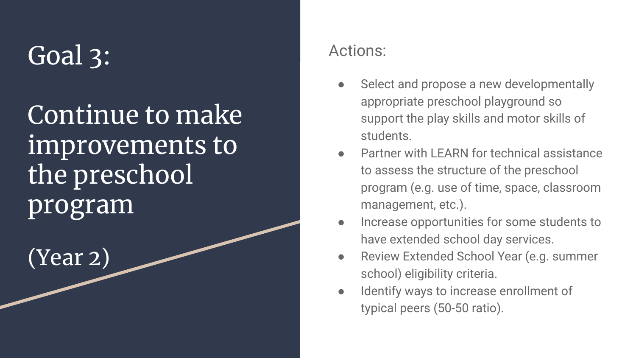# Goal 3:

Continue to make improvements to the preschool program

(Year 2)

#### Actions:

- Select and propose a new developmentally appropriate preschool playground so support the play skills and motor skills of students.
- Partner with LEARN for technical assistance to assess the structure of the preschool program (e.g. use of time, space, classroom management, etc.).
- Increase opportunities for some students to have extended school day services.
- Review Extended School Year (e.g. summer school) eligibility criteria.
- Identify ways to increase enrollment of typical peers (50-50 ratio).